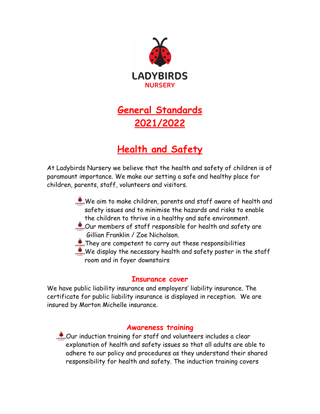

# **General Standards 2021/2022**

## **Health and Safety**

At Ladybirds Nursery we believe that the health and safety of children is of paramount importance. We make our setting a safe and healthy place for children, parents, staff, volunteers and visitors.

- We aim to make children, parents and staff aware of health and safety issues and to minimise the hazards and risks to enable the children to thrive in a healthy and safe environment.
- Our members of staff responsible for health and safety are Gillian Franklin / Zoe Nicholson.
- **They are competent to carry out these responsibilities**

We display the necessary health and safety poster in the staff room and in foyer downstairs

#### **Insurance cover**

We have public liability insurance and employers' liability insurance. The certificate for public liability insurance is displayed in reception. We are insured by Morton Michelle insurance.

## **Awareness training**

Our induction training for staff and volunteers includes a clear explanation of health and safety issues so that all adults are able to adhere to our policy and procedures as they understand their shared responsibility for health and safety. The induction training covers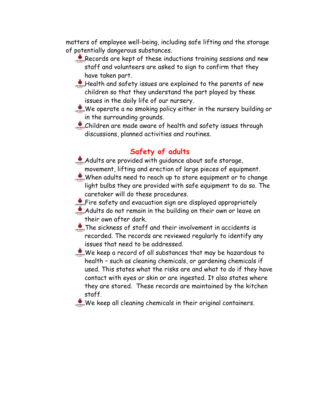matters of employee well-being, including safe lifting and the storage of potentially dangerous substances.

- Records are kept of these inductions training sessions and new staff and volunteers are asked to sign to confirm that they have taken part.
- **Health and safety issues are explained to the parents of new** children so that they understand the part played by these issues in the daily life of our nursery.
- We operate a no smoking policy either in the nursery building or in the surrounding grounds.
- Children are made aware of health and safety issues through discussions, planned activities and routines.

## **Safety of adults**

- Adults are provided with guidance about safe storage, movement, lifting and erection of large pieces of equipment.
- When adults need to reach up to store equipment or to change light bulbs they are provided with safe equipment to do so. The caretaker will do these procedures.
- Fire safety and evacuation sign are displayed appropriately

Adults do not remain in the building on their own or leave on their own after dark.

- $\sum_{n=1}^{\infty}$  The sickness of staff and their involvement in accidents is recorded. The records are reviewed regularly to identify any issues that need to be addressed.
- We keep a record of all substances that may be hazardous to health – such as cleaning chemicals, or gardening chemicals if used. This states what the risks are and what to do if they have contact with eyes or skin or are ingested. It also states where they are stored. These records are maintained by the kitchen staff.
- We keep all cleaning chemicals in their original containers.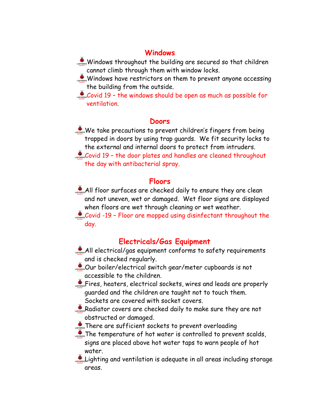#### **Windows**

- Windows throughout the building are secured so that children cannot climb through them with window locks.
- Windows have restrictors on them to prevent anyone accessing the building from the outside.
- Covid 19 the windows should be open as much as possible for ventilation.

#### **Doors**

- We take precautions to prevent children's fingers from being trapped in doors by using trap guards. We fit security locks to the external and internal doors to protect from intruders.
- $\mathcal{L}_{\text{cons}}$  Covid 19 the door plates and handles are cleaned throughout the day with antibacterial spray.

#### **Floors**

All floor surfaces are checked daily to ensure they are clean and not uneven, wet or damaged. Wet floor signs are displayed when floors are wet through cleaning or wet weather.

 $\mathcal{L}_{\text{cross}}$ Covid -19 - Floor are mopped using disinfectant throughout the day.

#### **Electricals/Gas Equipment**

- **All electrical/gas equipment conforms to safety requirements** and is checked regularly.
- Our boiler/electrical switch gear/meter cupboards is not accessible to the children.
- Fires, heaters, electrical sockets, wires and leads are properly guarded and the children are taught not to touch them. Sockets are covered with socket covers.
- Radiator covers are checked daily to make sure they are not obstructed or damaged.
	- **P** are sufficient sockets to prevent overloading
- The temperature of hot water is controlled to prevent scalds, signs are placed above hot water taps to warn people of hot water.
- Lighting and ventilation is adequate in all areas including storage areas.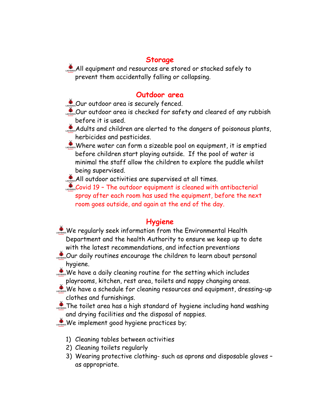#### **Storage**

**All equipment and resources are stored or stacked safely to** prevent them accidentally falling or collapsing.

#### **Outdoor area**

Our outdoor area is securely fenced.

Our outdoor area is checked for safety and cleared of any rubbish before it is used.

Adults and children are alerted to the dangers of poisonous plants, herbicides and pesticides.

Where water can form a sizeable pool on equipment, it is emptied before children start playing outside. If the pool of water is minimal the staff allow the children to explore the puddle whilst being supervised.

All outdoor activities are supervised at all times.

 $\mathcal{L}_{\text{cross}}$ Covid 19 - The outdoor equipment is cleaned with antibacterial spray after each room has used the equipment, before the next room goes outside, and again at the end of the day.

#### **Hygiene**

- We regularly seek information from the Environmental Health Department and the health Authority to ensure we keep up to date with the latest recommendations, and infection preventions
- Our daily routines encourage the children to learn about personal hygiene.

We have a daily cleaning routine for the setting which includes playrooms, kitchen, rest area, toilets and nappy changing areas.

- We have a schedule for cleaning resources and equipment, dressing-up clothes and furnishings.
- $\sum_{\text{log,max}}$  The toilet area has a high standard of hygiene including hand washing and drying facilities and the disposal of nappies.
- We implement good hygiene practices by;
	- 1) Cleaning tables between activities
	- 2) Cleaning toilets regularly
	- 3) Wearing protective clothing- such as aprons and disposable gloves as appropriate.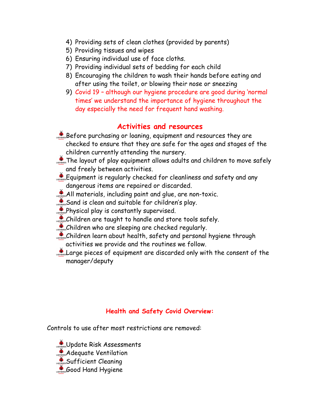- 4) Providing sets of clean clothes (provided by parents)
- 5) Providing tissues and wipes
- 6) Ensuring individual use of face cloths.
- 7) Providing individual sets of bedding for each child
- 8) Encouraging the children to wash their hands before eating and after using the toilet, or blowing their nose or sneezing
- 9) Covid 19 although our hygiene procedure are good during 'normal times' we understand the importance of hygiene throughout the day especially the need for frequent hand washing.

## **Activities and resources**

- Before purchasing or loaning, equipment and resources they are checked to ensure that they are safe for the ages and stages of the children currently attending the nursery.
- **CONSTRICE LAYOUT OF play equipment allows adults and children to move safely** and freely between activities.
- Equipment is regularly checked for cleanliness and safety and any dangerous items are repaired or discarded.
- **All materials, including paint and glue, are non-toxic.**
- Sand is clean and suitable for children's play.
- Physical play is constantly supervised.
- Children are taught to handle and store tools safely.
- Children who are sleeping are checked regularly.
- Children learn about health, safety and personal hygiene through activities we provide and the routines we follow.
- Large pieces of equipment are discarded only with the consent of the manager/deputy

#### **Health and Safety Covid Overview:**

Controls to use after most restrictions are removed:

Update Risk Assessments **Adequate Ventilation Sufficient Cleaning** Good Hand Hygiene